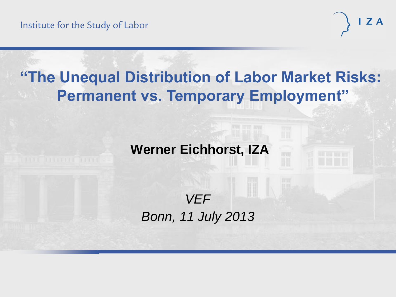

# **"The Unequal Distribution of Labor Market Risks: Permanent vs. Temporary Employment"**

# **Werner Eichhorst, IZA**

# *VEF Bonn, 11 July 2013*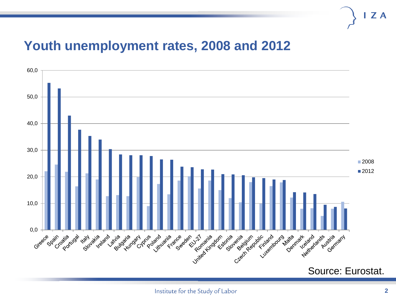#### **Youth unemployment rates, 2008 and 2012**

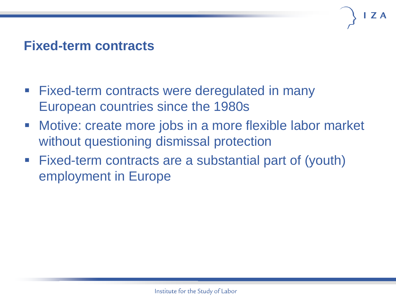# **Fixed-term contracts**

- Fixed-term contracts were deregulated in many European countries since the 1980s
- Motive: create more jobs in a more flexible labor market without questioning dismissal protection
- Fixed-term contracts are a substantial part of (youth) employment in Europe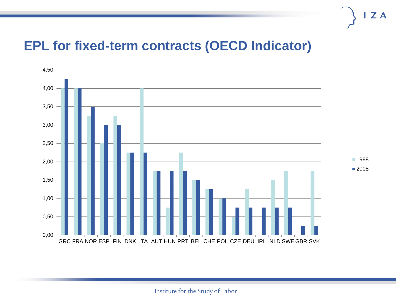#### **EPL for fixed-term contracts (OECD Indicator)**



 $\mathsf{I}$  Z A

Institute for the Study of Labor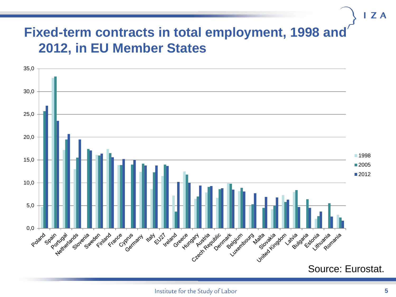# **Fixed-term contracts in total employment, 1998 and 2012, in EU Member States**



 $I Z A$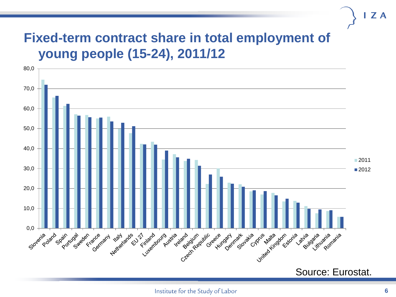# **Fixed-term contract share in total employment of young people (15-24), 2011/12**

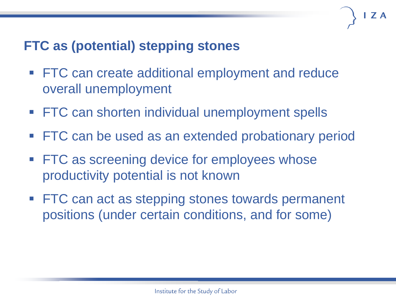# **FTC as (potential) stepping stones**

- **FTC can create additional employment and reduce** overall unemployment
- **FTC can shorten individual unemployment spells**
- FTC can be used as an extended probationary period
- **FTC as screening device for employees whose** productivity potential is not known
- **FTC can act as stepping stones towards permanent** positions (under certain conditions, and for some)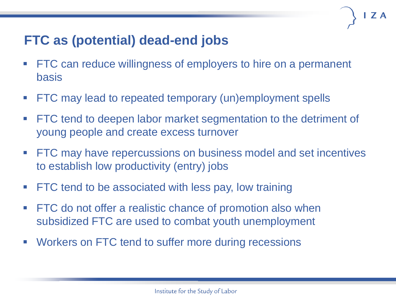# **FTC as (potential) dead-end jobs**

- **FTC can reduce willingness of employers to hire on a permanent** basis
- **FTC** may lead to repeated temporary (un)employment spells
- FTC tend to deepen labor market segmentation to the detriment of young people and create excess turnover
- **FTC** may have repercussions on business model and set incentives to establish low productivity (entry) jobs
- **FTC tend to be associated with less pay, low training**
- **FTC** do not offer a realistic chance of promotion also when subsidized FTC are used to combat youth unemployment
- **Workers on FTC tend to suffer more during recessions**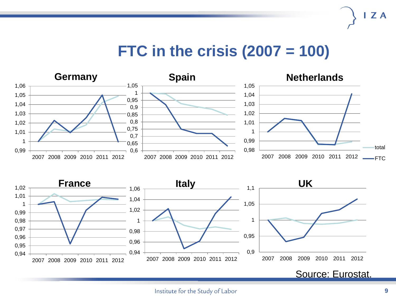# **FTC in the crisis (2007 = 100)**



Source: Eurostat.

**ZA**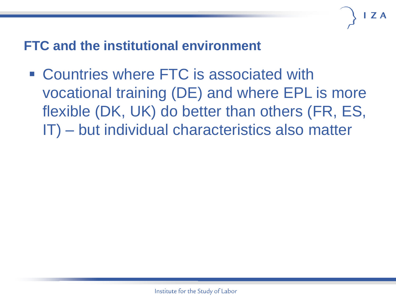# **FTC and the institutional environment**

 Countries where FTC is associated with vocational training (DE) and where EPL is more flexible (DK, UK) do better than others (FR, ES, IT) – but individual characteristics also matter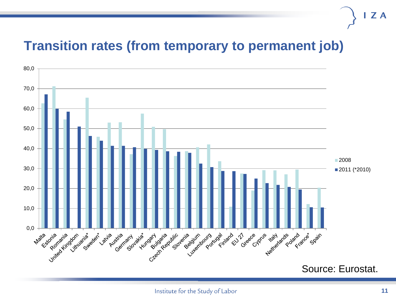## **Transition rates (from temporary to permanent job)**

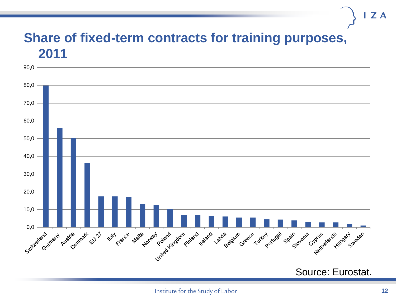#### **Share of fixed-term contracts for training purposes, 2011**

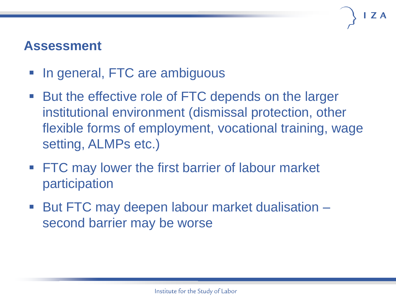## **Assessment**

- In general, FTC are ambiguous
- But the effective role of FTC depends on the larger institutional environment (dismissal protection, other flexible forms of employment, vocational training, wage setting, ALMPs etc.)
- **FTC may lower the first barrier of labour market** participation
- But FTC may deepen labour market dualisation second barrier may be worse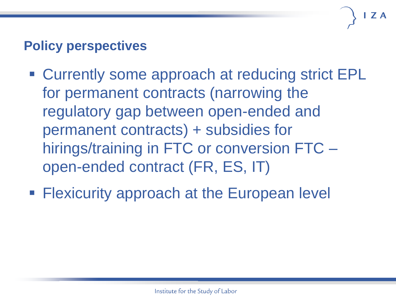# **Policy perspectives**

- Currently some approach at reducing strict EPL for permanent contracts (narrowing the regulatory gap between open-ended and permanent contracts) + subsidies for hirings/training in FTC or conversion FTC – open-ended contract (FR, ES, IT)
- **Flexicurity approach at the European level**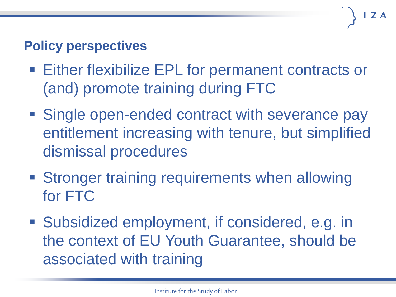# **Policy perspectives**

- Either flexibilize EPL for permanent contracts or (and) promote training during FTC
- **Single open-ended contract with severance pay** entitlement increasing with tenure, but simplified dismissal procedures
- **Stronger training requirements when allowing** for FTC
- Subsidized employment, if considered, e.g. in the context of EU Youth Guarantee, should be associated with training